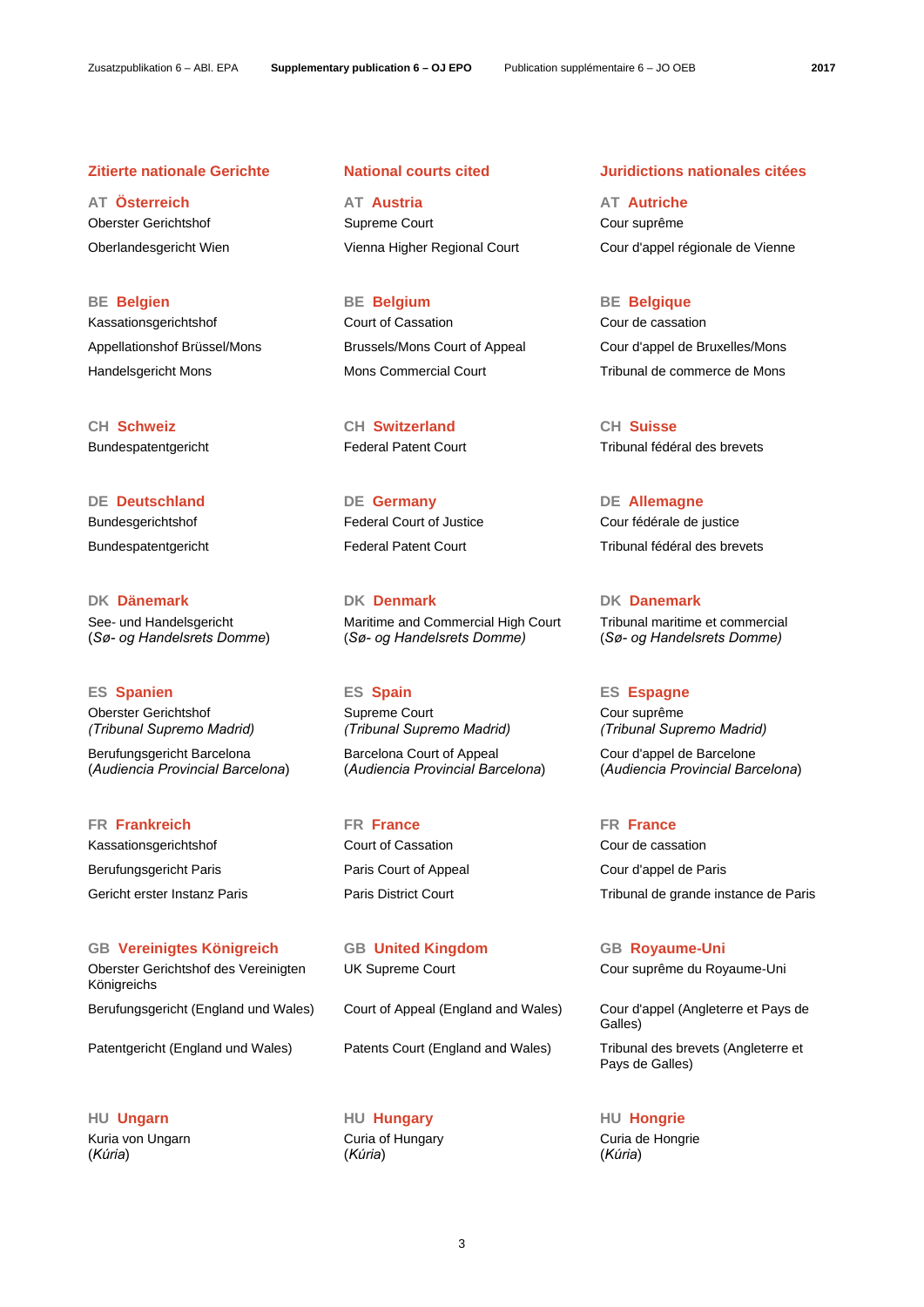**CH Schweiz CH Switzerland CH Suisse**

See- und Handelsgericht (*Sø- og Handelsrets Domme*)

Oberster Gerichtshof *(Tribunal Supremo Madrid)*

Berufungsgericht Barcelona (*Audiencia Provincial Barcelona*)

Kassationsgerichtshof Court of Cassation Cour de cassation Berufungsgericht Paris Paris Court of Appeal Cour d'appel de Paris

**GB Vereinigtes Königreich GB United Kingdom GB Royaume-Uni** Oberster Gerichtshof des Vereinigten Königreichs Berufungsgericht (England und Wales) Court of Appeal (England and Wales) Cour d'appel (Angleterre et Pays de

**HU Ungarn HU Hungary HU Hongrie** Kuria von Ungarn (*Kúria*)

**AT Österreich AT Austria AT Autriche**  Oberster Gerichtshof Supreme Court Cour suprême Oberlandesgericht Wien Vienna Higher Regional Court Cour d'appel régionale de Vienne

**BE Belgien BE Belgium BE Belgique** Kassationsgerichtshof Court of Cassation Cour de cassation

**DE Deutschland DE Germany DE Allemagne**

**DK Dänemark DK Denmark DK Danemark** Maritime and Commercial High Court (*Sø- og Handelsrets Domme)*

**ES Spanien ES Spain ES Espagne** Supreme Court *(Tribunal Supremo Madrid)*

> Barcelona Court of Appeal (*Audiencia Provincial Barcelona*)

**FR Frankreich FR France FR France**

Patentgericht (England und Wales) Patents Court (England and Wales) Tribunal des brevets (Angleterre et

 Curia of Hungary (*Kúria*)

## **Zitierte nationale Gerichte National courts cited Juridictions nationales citées**

Appellationshof Brüssel/Mons Brussels/Mons Court of Appeal Cour d'appel de Bruxelles/Mons Handelsgericht Mons Mons Commercial Court Tribunal de commerce de Mons

Bundespatentgericht Federal Patent Court Tribunal fédéral des brevets

Bundesgerichtshof Federal Court of Justice Court fédérale de justice Bundespatentgericht Federal Patent Court Tribunal fédéral des brevets

> Tribunal maritime et commercial (*Sø- og Handelsrets Domme)*

 Cour suprême *(Tribunal Supremo Madrid)*

 Cour d'appel de Barcelone (*Audiencia Provincial Barcelona*)

Gericht erster Instanz Paris Paris District Court Tribunal de grande instance de Paris

UK Supreme Court Coursuprême du Royaume-Uni

Galles)

Pays de Galles)

 Curia de Hongrie (*Kúria*)